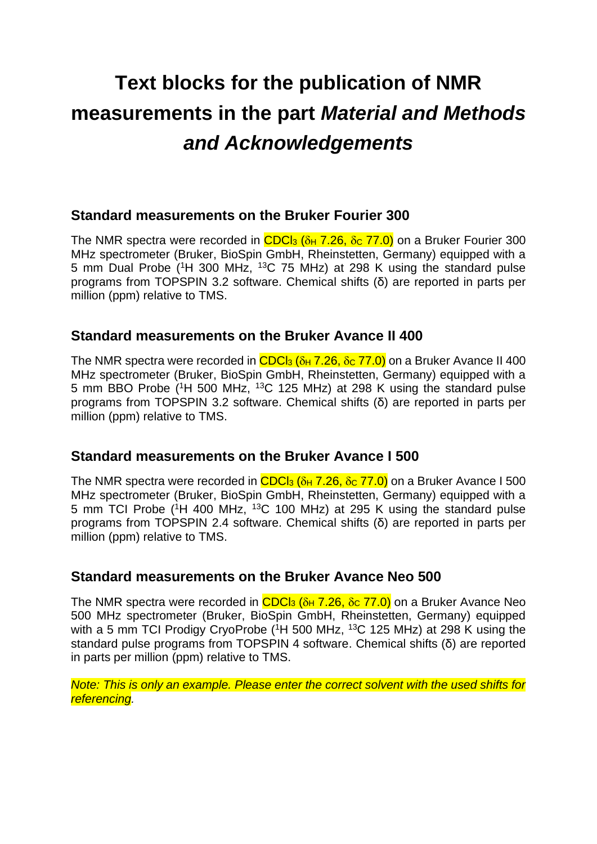# **Text blocks for the publication of NMR measurements in the part** *Material and Methods and Acknowledgements*

## **Standard measurements on the Bruker Fourier 300**

The NMR spectra were recorded in  $CDC<sub>3</sub>$  ( $\delta_H$  7.26,  $\delta_C$  77.0) on a Bruker Fourier 300 MHz spectrometer (Bruker, BioSpin GmbH, Rheinstetten, Germany) equipped with a 5 mm Dual Probe (<sup>1</sup>H 300 MHz, <sup>13</sup>C 75 MHz) at 298 K using the standard pulse programs from TOPSPIN 3.2 software. Chemical shifts (δ) are reported in parts per million (ppm) relative to TMS.

## **Standard measurements on the Bruker Avance II 400**

The NMR spectra were recorded in  $CDC<sub>13</sub>$  ( $\delta$ <sub>H</sub> 7.26,  $\delta$ <sub>C</sub> 77.0) on a Bruker Avance II 400 MHz spectrometer (Bruker, BioSpin GmbH, Rheinstetten, Germany) equipped with a 5 mm BBO Probe (<sup>1</sup>H 500 MHz, <sup>13</sup>C 125 MHz) at 298 K using the standard pulse programs from TOPSPIN 3.2 software. Chemical shifts (δ) are reported in parts per million (ppm) relative to TMS.

## **Standard measurements on the Bruker Avance I 500**

The NMR spectra were recorded in  $CDC<sub>13</sub>$  ( $\delta$ <sub>H</sub> 7.26,  $\delta$ c 77.0) on a Bruker Avance I 500 MHz spectrometer (Bruker, BioSpin GmbH, Rheinstetten, Germany) equipped with a 5 mm TCI Probe (<sup>1</sup>H 400 MHz, <sup>13</sup>C 100 MHz) at 295 K using the standard pulse programs from TOPSPIN 2.4 software. Chemical shifts (δ) are reported in parts per million (ppm) relative to TMS.

#### **Standard measurements on the Bruker Avance Neo 500**

The NMR spectra were recorded in  $CDC<sub>13</sub>$  ( $\delta$ <sub>H</sub> 7.26,  $\delta$ c 77.0) on a Bruker Avance Neo 500 MHz spectrometer (Bruker, BioSpin GmbH, Rheinstetten, Germany) equipped with a 5 mm TCI Prodigy CryoProbe ( $1H$  500 MHz,  $13C$  125 MHz) at 298 K using the standard pulse programs from TOPSPIN 4 software. Chemical shifts (δ) are reported in parts per million (ppm) relative to TMS.

*Note: This is only an example. Please enter the correct solvent with the used shifts for referencing.*